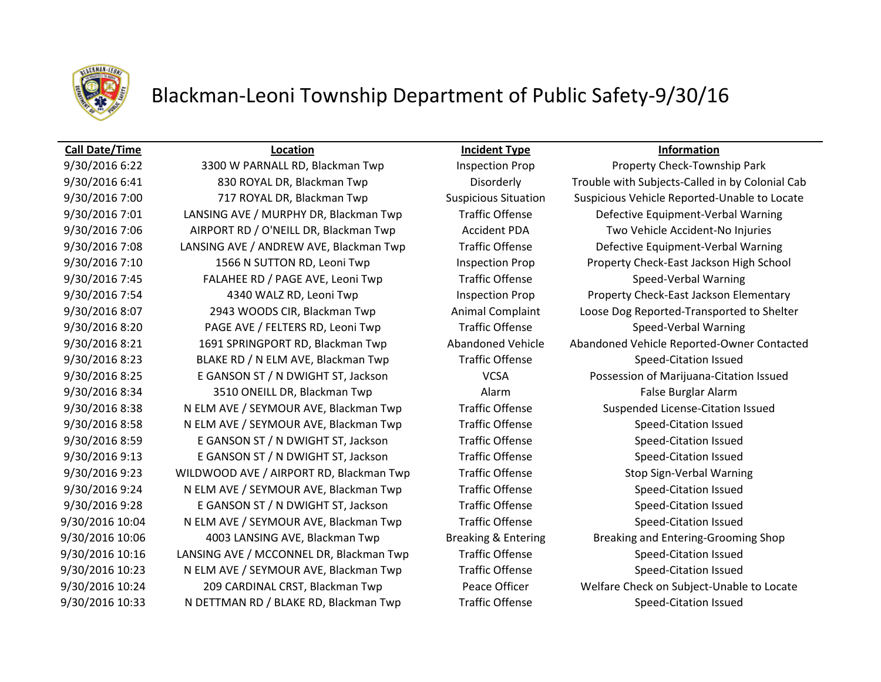

### **Call Date/Time Location Incident Type Information**

9/30/2016 7:01 LANSING AVE / MURPHY DR, Blackman Twp Traffic Offense Defective Equipment-Verbal Warning 9/30/2016 7:06 AIRPORT RD / O'NEILL DR, Blackman Twp Accident PDA Two Vehicle Accident-No Injuries 9/30/2016 7:08 LANSING AVE / ANDREW AVE, Blackman Twp Traffic Offense Defective Equipment-Verbal Warning 9/30/2016 7:10 1566 N SUTTON RD, Leoni Twp Inspection Prop Property Check-East Jackson High School 9/30/2016 7:45 FALAHEE RD / PAGE AVE, Leoni Twp Traffic Offense Speed-Verbal Warning 9/30/2016 7:54 4340 WALZ RD, Leoni Twp Inspection Prop Property Check-East Jackson Elementary 9/30/2016 8:20 PAGE AVE / FELTERS RD, Leoni Twp Traffic Offense Speed-Verbal Warning 9/30/2016 8:23 BLAKE RD / N ELM AVE, Blackman Twp Traffic Offense Speed-Citation Issued 9/30/2016 8:25 E GANSON ST / N DWIGHT ST, Jackson VCSA Possession of Marijuana-Citation Issued 9/30/2016 8:34 3510 ONEILL DR, Blackman Twp **Alarm Alarm False Burglar Alarm** False Burglar Alarm 9/30/2016 8:38 N ELM AVE / SEYMOUR AVE, Blackman Twp Traffic Offense Suspended License-Citation Issued 9/30/2016 8:58 N ELM AVE / SEYMOUR AVE, Blackman Twp Traffic Offense Speed-Citation Issued 9/30/2016 8:59 E GANSON ST / N DWIGHT ST, Jackson Traffic Offense Speed-Citation Issued 9/30/2016 9:13 E GANSON ST / N DWIGHT ST, Jackson Traffic Offense Speed-Citation Issued 9/30/2016 9:23 WILDWOOD AVE / AIRPORT RD, Blackman Twp Traffic Offense Stop Sign-Verbal Warning 9/30/2016 9:24 N ELM AVE / SEYMOUR AVE, Blackman Twp Traffic Offense Speed-Citation Issued 9/30/2016 9:28 E GANSON ST / N DWIGHT ST, Jackson Traffic Offense Speed-Citation Issued 9/30/2016 10:04 N ELM AVE / SEYMOUR AVE, Blackman Twp Traffic Offense Speed-Citation Issued 9/30/2016 10:06 4003 LANSING AVE, Blackman Twp Breaking & Entering Breaking and Entering-Grooming Shop 9/30/2016 10:16 LANSING AVE / MCCONNEL DR, Blackman Twp Traffic Offense Speed-Citation Issued 9/30/2016 10:23 N ELM AVE / SEYMOUR AVE, Blackman Twp Traffic Offense Speed-Citation Issued 9/30/2016 10:33 N DETTMAN RD / BLAKE RD, Blackman Twp Traffic Offense Speed-Citation Issued

9/30/2016 6:22 3300 W PARNALL RD, Blackman Twp Inspection Prop Property Check-Township Park 9/30/2016 6:41 830 ROYAL DR, Blackman Twp Disorderly Trouble with Subjects-Called in by Colonial Cab 9/30/2016 7:00 717 ROYAL DR, Blackman Twp Suspicious Situation Suspicious Vehicle Reported-Unable to Locate 9/30/2016 8:07 2943 WOODS CIR, Blackman Twp **Animal Complaint** Loose Dog Reported-Transported to Shelter 9/30/2016 8:21 1691 SPRINGPORT RD, Blackman Twp Abandoned Vehicle Abandoned Vehicle Reported-Owner Contacted 9/30/2016 10:24 209 CARDINAL CRST, Blackman Twp Peace Officer Welfare Check on Subject-Unable to Locate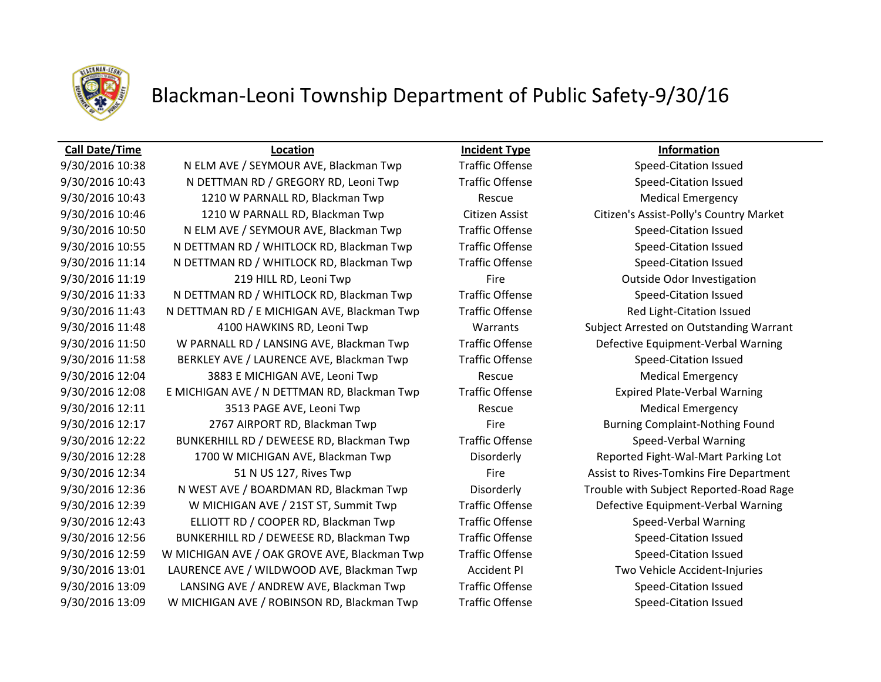

### **Call Date/Time Location Incident Type Information**

9/30/2016 10:38 N ELM AVE / SEYMOUR AVE, Blackman Twp Traffic Offense Speed-Citation Issued 9/30/2016 10:43 N DETTMAN RD / GREGORY RD, Leoni Twp Traffic Offense Speed-Citation Issued 9/30/2016 10:43 1210 W PARNALL RD, Blackman Twp Rescue Rescue Medical Emergency 9/30/2016 10:46 1210 W PARNALL RD, Blackman Twp Citizen Assist Citizen's Assist-Polly's Country Market 9/30/2016 10:50 N ELM AVE / SEYMOUR AVE, Blackman Twp Traffic Offense Speed-Citation Issued 9/30/2016 10:55 N DETTMAN RD / WHITLOCK RD, Blackman Twp Traffic Offense Speed-Citation Issued 9/30/2016 11:14 N DETTMAN RD / WHITLOCK RD, Blackman Twp Traffic Offense Speed-Citation Issued 9/30/2016 11:19 219 HILL RD, Leoni Twp Fire Fire Outside Odor Investigation 9/30/2016 11:33 N DETTMAN RD / WHITLOCK RD, Blackman Twp Traffic Offense Speed-Citation Issued 9/30/2016 11:43 N DETTMAN RD / E MICHIGAN AVE, Blackman Twp Traffic Offense Red Light-Citation Issued 9/30/2016 11:48 4100 HAWKINS RD, Leoni Twp Warrants Subject Arrested on Outstanding Warrant 9/30/2016 11:50 W PARNALL RD / LANSING AVE, Blackman Twp Traffic Offense Defective Equipment-Verbal Warning 9/30/2016 11:58 BERKLEY AVE / LAURENCE AVE, Blackman Twp Traffic Offense Speed-Citation Issued 9/30/2016 12:04 3883 E MICHIGAN AVE, Leoni Twp Rescue Rescue Medical Emergency 9/30/2016 12:08 E MICHIGAN AVE / N DETTMAN RD, Blackman Twp Traffic Offense Expired Plate-Verbal Warning 9/30/2016 12:11 3513 PAGE AVE, Leoni Twp Rescue Rescue Medical Emergency 9/30/2016 12:17 2767 AIRPORT RD, Blackman Twp Fire Fire Burning Complaint-Nothing Found 9/30/2016 12:22 BUNKERHILL RD / DEWEESE RD, Blackman Twp Traffic Offense Speed-Verbal Warning 9/30/2016 12:28 1700 W MICHIGAN AVE, Blackman Twp Disorderly Reported Fight-Wal-Mart Parking Lot 9/30/2016 12:34 51 N US 127, Rives Twp Fire Fire Assist to Rives-Tomkins Fire Department 9/30/2016 12:36 N WEST AVE / BOARDMAN RD, Blackman Twp Disorderly Trouble with Subject Reported-Road Rage 9/30/2016 12:39 W MICHIGAN AVE / 21ST ST, Summit Twp Traffic Offense Defective Equipment-Verbal Warning 9/30/2016 12:43 ELLIOTT RD / COOPER RD, Blackman Twp Traffic Offense Speed-Verbal Warning 9/30/2016 12:56 BUNKERHILL RD / DEWEESE RD, Blackman Twp Traffic Offense Speed-Citation Issued 9/30/2016 12:59 W MICHIGAN AVE / OAK GROVE AVE, Blackman Twp Traffic Offense Speed-Citation Issued 9/30/2016 13:01 LAURENCE AVE / WILDWOOD AVE, Blackman Twp Accident PI Two Vehicle Accident-Injuries 9/30/2016 13:09 LANSING AVE / ANDREW AVE, Blackman Twp Traffic Offense Speed-Citation Issued 9/30/2016 13:09 W MICHIGAN AVE / ROBINSON RD, Blackman Twp Traffic Offense Speed-Citation Issued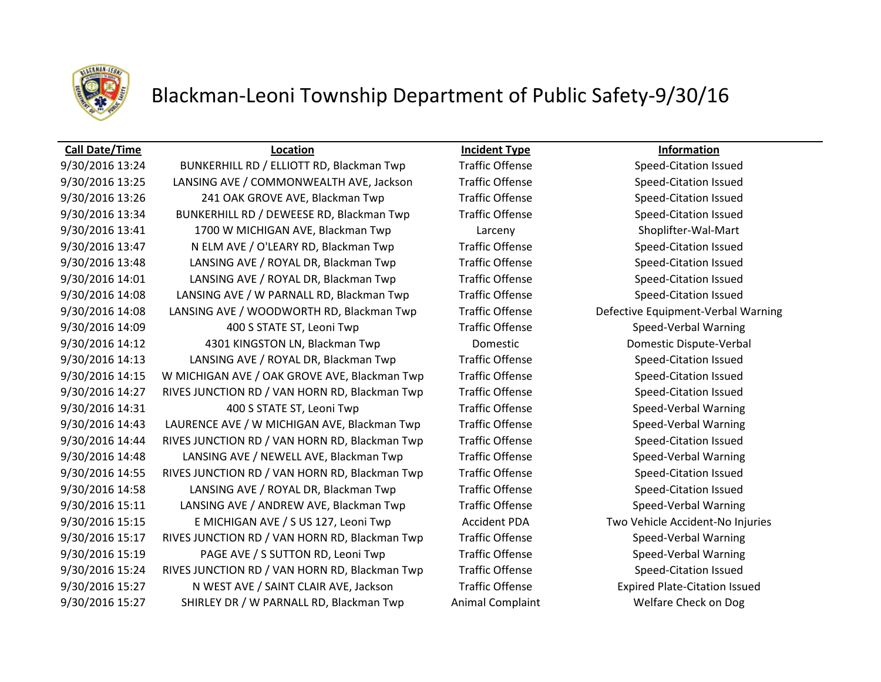

### **Call Date/Time Location Incident Type Information**

9/30/2016 13:24 BUNKERHILL RD / ELLIOTT RD, Blackman Twp Traffic Offense Speed-Citation Issued

9/30/2016 13:25 LANSING AVE / COMMONWEALTH AVE, Jackson Traffic Offense Speed-Citation Issued 9/30/2016 13:26 241 OAK GROVE AVE, Blackman Twp Traffic Offense Speed-Citation Issued 9/30/2016 13:34 BUNKERHILL RD / DEWEESE RD, Blackman Twp Traffic Offense Speed-Citation Issued 9/30/2016 13:41 1700 W MICHIGAN AVE, Blackman Twp Larceny Larceny Shoplifter-Wal-Mart 9/30/2016 13:47 N ELM AVE / O'LEARY RD, Blackman Twp Traffic Offense Speed-Citation Issued 9/30/2016 13:48 LANSING AVE / ROYAL DR, Blackman Twp Traffic Offense Speed-Citation Issued 9/30/2016 14:01 LANSING AVE / ROYAL DR, Blackman Twp Traffic Offense Speed-Citation Issued 9/30/2016 14:08 LANSING AVE / W PARNALL RD, Blackman Twp Traffic Offense Speed-Citation Issued 9/30/2016 14:08 LANSING AVE / WOODWORTH RD, Blackman Twp Traffic Offense Defective Equipment-Verbal Warning 9/30/2016 14:09 400 S STATE ST, Leoni Twp Traffic Offense Speed-Verbal Warning 9/30/2016 14:12 4301 KINGSTON LN, Blackman Twp Domestic Domestic Dispute-Verbal 9/30/2016 14:13 LANSING AVE / ROYAL DR, Blackman Twp Traffic Offense Speed-Citation Issued 9/30/2016 14:15 W MICHIGAN AVE / OAK GROVE AVE, Blackman Twp Traffic Offense Speed-Citation Issued 9/30/2016 14:27 RIVES JUNCTION RD / VAN HORN RD, Blackman Twp Traffic Offense Speed-Citation Issued 9/30/2016 14:31 400 S STATE ST, Leoni Twp Traffic Offense Speed-Verbal Warning 9/30/2016 14:43 LAURENCE AVE / W MICHIGAN AVE, Blackman Twp Traffic Offense Speed-Verbal Warning 9/30/2016 14:44 RIVES JUNCTION RD / VAN HORN RD, Blackman Twp Traffic Offense Speed-Citation Issued 9/30/2016 14:48 LANSING AVE / NEWELL AVE, Blackman Twp Traffic Offense Speed-Verbal Warning 9/30/2016 14:55 RIVES JUNCTION RD / VAN HORN RD, Blackman Twp Traffic Offense Speed-Citation Issued 9/30/2016 14:58 LANSING AVE / ROYAL DR, Blackman Twp Traffic Offense Speed-Citation Issued 9/30/2016 15:11 LANSING AVE / ANDREW AVE, Blackman Twp Traffic Offense Speed-Verbal Warning 9/30/2016 15:15 E MICHIGAN AVE / S US 127, Leoni Twp Accident PDA Two Vehicle Accident-No Injuries 9/30/2016 15:17 RIVES JUNCTION RD / VAN HORN RD, Blackman Twp Traffic Offense Speed-Verbal Warning 9/30/2016 15:19 PAGE AVE / S SUTTON RD, Leoni Twp Traffic Offense Speed-Verbal Warning 9/30/2016 15:24 RIVES JUNCTION RD / VAN HORN RD, Blackman Twp Traffic Offense Speed-Citation Issued 9/30/2016 15:27 N WEST AVE / SAINT CLAIR AVE, Jackson Traffic Offense Expired Plate-Citation Issued 9/30/2016 15:27 SHIRLEY DR / W PARNALL RD, Blackman Twp Animal Complaint Welfare Check on Dog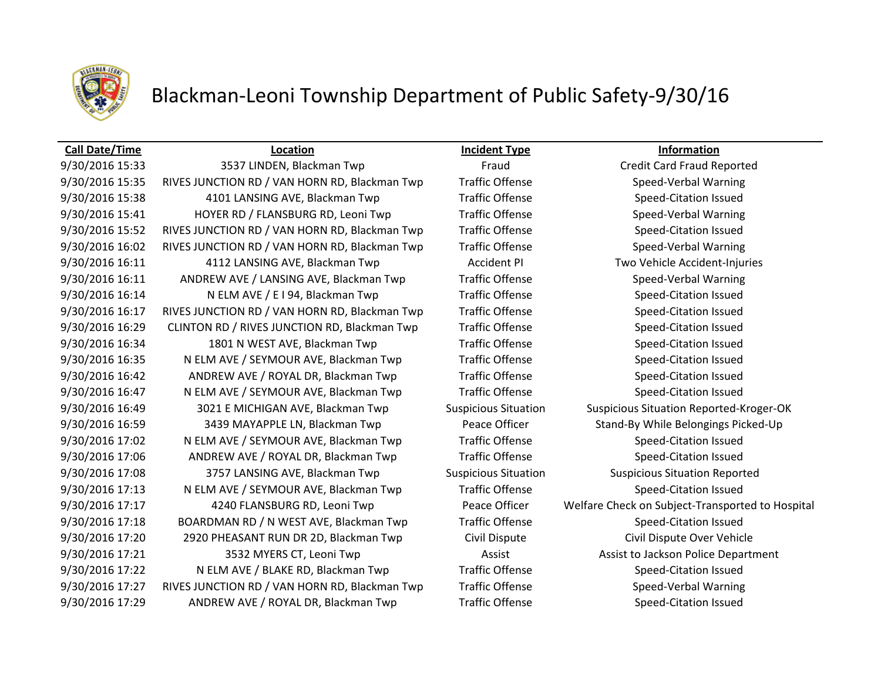

### **Call Date/Time Location Incident Type Information**

9/30/2016 15:33 3537 LINDEN, Blackman Twp Fraud Fraud Credit Card Fraud Reported 9/30/2016 15:35 RIVES JUNCTION RD / VAN HORN RD, Blackman Twp Traffic Offense Speed-Verbal Warning 9/30/2016 15:38 4101 LANSING AVE, Blackman Twp Traffic Offense Speed-Citation Issued 9/30/2016 15:41 HOYER RD / FLANSBURG RD, Leoni Twp Traffic Offense Speed-Verbal Warning 9/30/2016 15:52 RIVES JUNCTION RD / VAN HORN RD, Blackman Twp Traffic Offense Speed-Citation Issued 9/30/2016 16:02 RIVES JUNCTION RD / VAN HORN RD, Blackman Twp Traffic Offense Speed-Verbal Warning 9/30/2016 16:11 4112 LANSING AVE, Blackman Twp Accident PI Two Vehicle Accident-Injuries 9/30/2016 16:11 ANDREW AVE / LANSING AVE, Blackman Twp Traffic Offense Speed-Verbal Warning 9/30/2016 16:14 NELM AVE / EI 94, Blackman Twp Traffic Offense Speed-Citation Issued 9/30/2016 16:17 RIVES JUNCTION RD / VAN HORN RD, Blackman Twp Traffic Offense Speed-Citation Issued 9/30/2016 16:29 CLINTON RD / RIVES JUNCTION RD, Blackman Twp Traffic Offense Speed-Citation Issued 9/30/2016 16:34 1801 N WEST AVE, Blackman Twp Traffic Offense Speed-Citation Issued 9/30/2016 16:35 N ELM AVE / SEYMOUR AVE, Blackman Twp Traffic Offense Speed-Citation Issued 9/30/2016 16:42 ANDREW AVE / ROYAL DR, Blackman Twp Traffic Offense Speed-Citation Issued 9/30/2016 16:47 N ELM AVE / SEYMOUR AVE, Blackman Twp Traffic Offense Speed-Citation Issued 9/30/2016 16:49 3021 E MICHIGAN AVE, Blackman Twp Suspicious Situation Suspicious Situation Reported-Kroger-OK 9/30/2016 16:59 3439 MAYAPPLE LN, Blackman Twp Peace Officer Stand-By While Belongings Picked-Up 9/30/2016 17:02 N ELM AVE / SEYMOUR AVE, Blackman Twp Traffic Offense Speed-Citation Issued 9/30/2016 17:06 ANDREW AVE / ROYAL DR, Blackman Twp Traffic Offense Speed-Citation Issued 9/30/2016 17:08 3757 LANSING AVE, Blackman Twp Suspicious Situation Suspicious Situation Reported 9/30/2016 17:13 N ELM AVE / SEYMOUR AVE, Blackman Twp Traffic Offense Speed-Citation Issued 9/30/2016 17:17 4240 FLANSBURG RD, Leoni Twp Peace Officer Welfare Check on Subject-Transported to Hospital 9/30/2016 17:18 BOARDMAN RD / N WEST AVE, Blackman Twp Traffic Offense Speed-Citation Issued 9/30/2016 17:20 2920 PHEASANT RUN DR 2D, Blackman Twp Civil Dispute Civil Dispute Over Vehicle 9/30/2016 17:21 3532 MYERS CT, Leoni Twp Assist Assist Assist to Jackson Police Department 9/30/2016 17:22 N ELM AVE / BLAKE RD, Blackman Twp Traffic Offense Speed-Citation Issued

9/30/2016 17:27 RIVES JUNCTION RD / VAN HORN RD, Blackman Twp Traffic Offense Speed-Verbal Warning 9/30/2016 17:29 ANDREW AVE / ROYAL DR, Blackman Twp Traffic Offense Speed-Citation Issued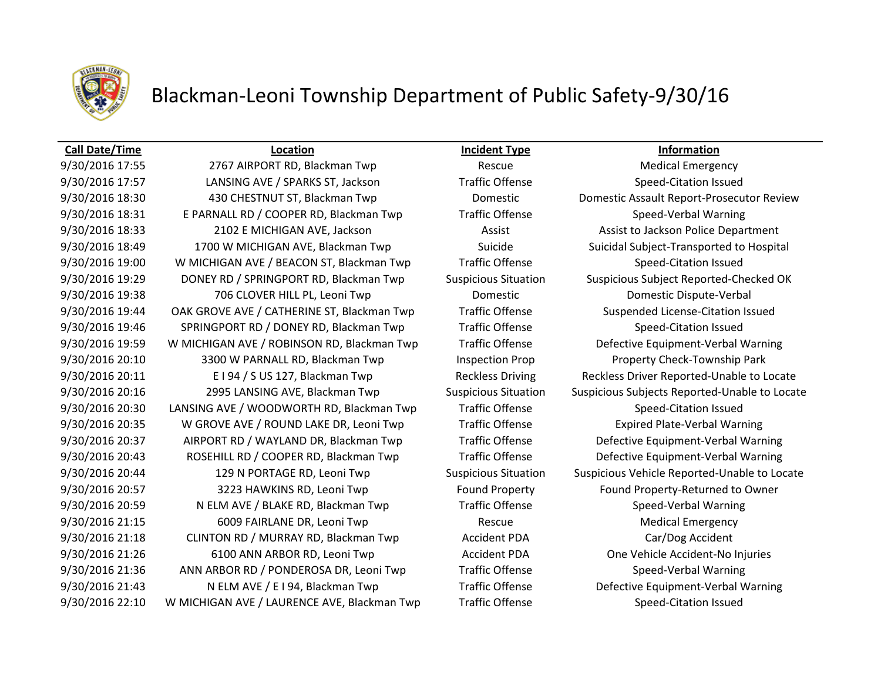

### **Call Date/Time Location Incident Type Information**

9/30/2016 17:57 LANSING AVE / SPARKS ST, Jackson Traffic Offense Speed-Citation Issued 9/30/2016 18:30 430 CHESTNUT ST, Blackman Twp Domestic Domestic Domestic Assault Report-Prosecutor Review 9/30/2016 18:31 E PARNALL RD / COOPER RD, Blackman Twp Traffic Offense Speed-Verbal Warning 9/30/2016 18:33 2102 E MICHIGAN AVE, Jackson Assist Assist Assist to Jackson Police Department 9/30/2016 18:49 1700 W MICHIGAN AVE, Blackman Twp Suicide Suicide Suicidal Subject-Transported to Hospital 9/30/2016 19:00 W MICHIGAN AVE / BEACON ST, Blackman Twp Traffic Offense Speed-Citation Issued 9/30/2016 19:29 DONEY RD / SPRINGPORT RD, Blackman Twp Suspicious Situation Suspicious Subject Reported-Checked OK 9/30/2016 19:38 706 CLOVER HILL PL, Leoni Twp Domestic Domestic Domestic Dispute-Verbal 9/30/2016 19:44 OAK GROVE AVE / CATHERINE ST, Blackman Twp Traffic Offense Suspended License-Citation Issued 9/30/2016 19:46 SPRINGPORT RD / DONEY RD, Blackman Twp Traffic Offense Speed-Citation Issued 9/30/2016 19:59 W MICHIGAN AVE / ROBINSON RD, Blackman Twp Traffic Offense Defective Equipment-Verbal Warning 9/30/2016 20:10 3300 W PARNALL RD, Blackman Twp Inspection Prop Property Check-Township Park 9/30/2016 20:11 E I 94 / S US 127, Blackman Twp Reckless Driving Reckless Driver Reported-Unable to Locate 9/30/2016 20:30 LANSING AVE / WOODWORTH RD, Blackman Twp Traffic Offense Speed-Citation Issued 9/30/2016 20:35 W GROVE AVE / ROUND LAKE DR, Leoni Twp Traffic Offense Expired Plate-Verbal Warning 9/30/2016 20:37 AIRPORT RD / WAYLAND DR, Blackman Twp Traffic Offense Defective Equipment-Verbal Warning 9/30/2016 20:43 ROSEHILL RD / COOPER RD, Blackman Twp Traffic Offense Defective Equipment-Verbal Warning 9/30/2016 20:57 3223 HAWKINS RD, Leoni Twp Found Property Found Property-Returned to Owner 9/30/2016 20:59 NELM AVE / BLAKE RD, Blackman Twp Traffic Offense Speed-Verbal Warning 9/30/2016 21:15 6009 FAIRLANE DR, Leoni Twp Rescue Rescue Medical Emergency 9/30/2016 21:18 CLINTON RD / MURRAY RD, Blackman Twp Accident PDA Car/Dog Accident 9/30/2016 21:26 6100 ANN ARBOR RD, Leoni Twp Accident PDA One Vehicle Accident-No Injuries 9/30/2016 21:36 ANN ARBOR RD / PONDEROSA DR, Leoni Twp Traffic Offense Speed-Verbal Warning 9/30/2016 21:43 N ELM AVE / E I 94, Blackman Twp Traffic Offense Defective Equipment-Verbal Warning 9/30/2016 22:10 W MICHIGAN AVE / LAURENCE AVE, Blackman Twp Traffic Offense Speed-Citation Issued

9/30/2016 17:55 2767 AIRPORT RD, Blackman Twp Rescue Rescue Medical Emergency 9/30/2016 20:16 2995 LANSING AVE, Blackman Twp Suspicious Situation Suspicious Subjects Reported-Unable to Locate 9/30/2016 20:44 129 N PORTAGE RD, Leoni Twp Suspicious Situation Suspicious Vehicle Reported-Unable to Locate